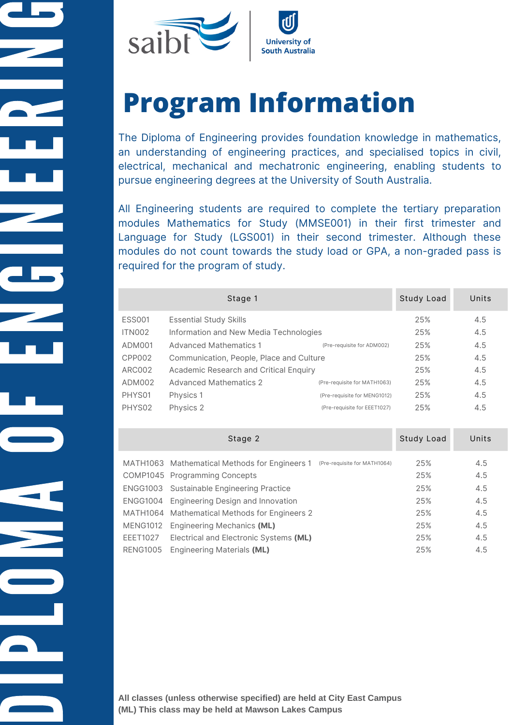

# **Program Information**

The Diploma of Engineering provides foundation knowledge in mathematics, an understanding of engineering practices, and specialised topics in civil, electrical, mechanical and mechatronic engineering, enabling students to pursue engineering degrees at the University of South Australia.

All Engineering students are required to complete the tertiary preparation modules Mathematics for Study (MMSE001) in their first trimester and Language for Study (LGS001) in their second trimester. Although these modules do not count towards the study load or GPA, a non-graded pass is required for the program of study.

|               | Stage 1                                  |                              | Study Load | Units |
|---------------|------------------------------------------|------------------------------|------------|-------|
| <b>ESS001</b> | <b>Essential Study Skills</b>            |                              | 25%        | 4.5   |
| ITN002        | Information and New Media Technologies   |                              | 25%        | 4.5   |
| ADM001        | <b>Advanced Mathematics 1</b>            | (Pre-requisite for ADM002)   | 25%        | 4.5   |
| CPP002        | Communication, People, Place and Culture |                              |            | 4.5   |
| ARC002        | Academic Research and Critical Enquiry   |                              | 25%        | 4.5   |
| ADM002        | <b>Advanced Mathematics 2</b>            | (Pre-requisite for MATH1063) | 25%        | 4.5   |
| PHYS01        | Physics 1                                | (Pre-requisite for MENG1012) | 25%        | 4.5   |
| PHYS02        | Physics 2                                | (Pre-requisite for EEET1027) | 25%        | 4.5   |
|               |                                          |                              |            |       |

|                 | Stage 2                                         |                              | Study Load | Units |
|-----------------|-------------------------------------------------|------------------------------|------------|-------|
|                 | MATH1063 Mathematical Methods for Engineers 1   | (Pre-requisite for MATH1064) | 25%        | 4.5   |
|                 | COMP1045 Programming Concepts                   |                              | 25%        | 4.5   |
|                 | ENGG1003 Sustainable Engineering Practice       |                              | 25%        | 4.5   |
|                 | ENGG1004 Engineering Design and Innovation      |                              | 25%        | 4.5   |
|                 | MATH1064 Mathematical Methods for Engineers 2   |                              | 25%        | 4.5   |
|                 | MENG1012 Engineering Mechanics (ML)             |                              | 25%        | 4.5   |
|                 | EEET1027 Electrical and Electronic Systems (ML) |                              | 25%        | 4.5   |
| <b>RENG1005</b> | Engineering Materials (ML)                      |                              | 25%        | 4.5   |